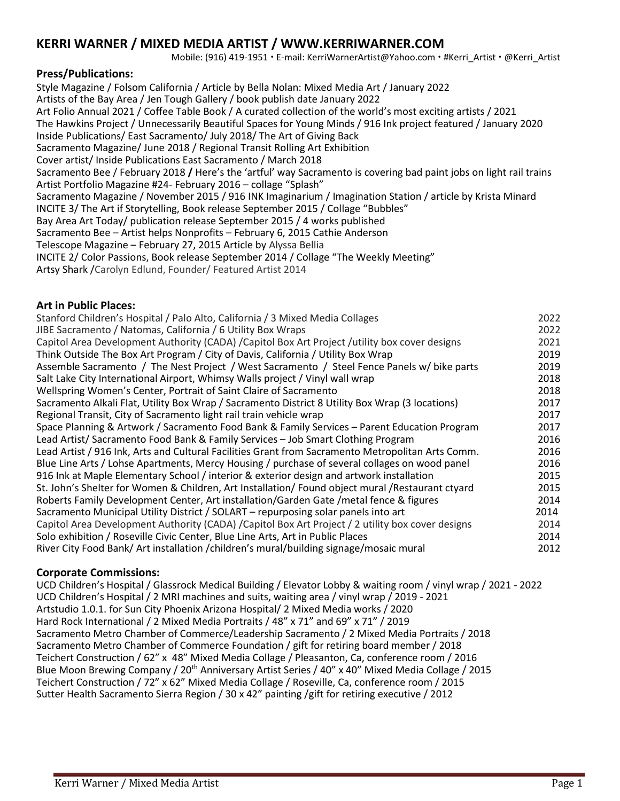# **KERRI WARNER / MIXED MEDIA ARTIST / WWW.KERRIWARNER.COM**

Mobile: (916) 419-1951 · E-mail: KerriWarnerArtist@Yahoo.com · #Kerri\_Artist · @Kerri\_Artist

## **Press/Publications:**

Style Magazine / Folsom California / Article by Bella Nolan: Mixed Media Art / January 2022 Artists of the Bay Area / Jen Tough Gallery / book publish date January 2022 Art Folio Annual 2021 / Coffee Table Book / A curated collection of the world's most exciting artists / 2021 The Hawkins Project / Unnecessarily Beautiful Spaces for Young Minds / 916 Ink project featured / January 2020 Inside Publications/ East Sacramento/ July 2018/ The Art of Giving Back Sacramento Magazine/ June 2018 / Regional Transit Rolling Art Exhibition Cover artist/ Inside Publications East Sacramento / March 2018 Sacramento Bee / February 2018 **/** Here's the 'artful' way Sacramento is covering bad paint jobs on light rail trains Artist Portfolio Magazine #24- February 2016 – collage "Splash" Sacramento Magazine / November 2015 / 916 INK Imaginarium / Imagination Station / article by Krista Minard INCITE 3/ The Art if Storytelling, Book release September 2015 / Collage "Bubbles" Bay Area Art Today/ publication release September 2015 / 4 works published Sacramento Bee – Artist helps Nonprofits – February 6, 2015 Cathie Anderson Telescope Magazine – February 27, 2015 Article by Alyssa Bellia INCITE 2/ Color Passions, Book release September 2014 / Collage "The Weekly Meeting" Artsy Shark /Carolyn Edlund, Founder/ Featured Artist 2014

### **Art in Public Places:**

| Stanford Children's Hospital / Palo Alto, California / 3 Mixed Media Collages                     | 2022 |
|---------------------------------------------------------------------------------------------------|------|
| JIBE Sacramento / Natomas, California / 6 Utility Box Wraps                                       | 2022 |
| Capitol Area Development Authority (CADA) /Capitol Box Art Project /utility box cover designs     | 2021 |
| Think Outside The Box Art Program / City of Davis, California / Utility Box Wrap                  | 2019 |
| Assemble Sacramento / The Nest Project / West Sacramento / Steel Fence Panels w/ bike parts       | 2019 |
| Salt Lake City International Airport, Whimsy Walls project / Vinyl wall wrap                      | 2018 |
| Wellspring Women's Center, Portrait of Saint Claire of Sacramento                                 | 2018 |
| Sacramento Alkali Flat, Utility Box Wrap / Sacramento District 8 Utility Box Wrap (3 locations)   | 2017 |
| Regional Transit, City of Sacramento light rail train vehicle wrap                                | 2017 |
| Space Planning & Artwork / Sacramento Food Bank & Family Services - Parent Education Program      | 2017 |
| Lead Artist/ Sacramento Food Bank & Family Services - Job Smart Clothing Program                  | 2016 |
| Lead Artist / 916 Ink, Arts and Cultural Facilities Grant from Sacramento Metropolitan Arts Comm. | 2016 |
| Blue Line Arts / Lohse Apartments, Mercy Housing / purchase of several collages on wood panel     | 2016 |
| 916 Ink at Maple Elementary School / interior & exterior design and artwork installation          | 2015 |
| St. John's Shelter for Women & Children, Art Installation/ Found object mural / Restaurant ctyard | 2015 |
| Roberts Family Development Center, Art installation/Garden Gate /metal fence & figures            | 2014 |
| Sacramento Municipal Utility District / SOLART - repurposing solar panels into art                | 2014 |
| Capitol Area Development Authority (CADA) /Capitol Box Art Project / 2 utility box cover designs  | 2014 |
| Solo exhibition / Roseville Civic Center, Blue Line Arts, Art in Public Places                    | 2014 |
| River City Food Bank/ Art installation / children's mural/building signage/mosaic mural           | 2012 |
|                                                                                                   |      |

#### **Corporate Commissions:**

UCD Children's Hospital / Glassrock Medical Building / Elevator Lobby & waiting room / vinyl wrap / 2021 - 2022 UCD Children's Hospital / 2 MRI machines and suits, waiting area / vinyl wrap / 2019 - 2021 Artstudio 1.0.1. for Sun City Phoenix Arizona Hospital/ 2 Mixed Media works / 2020 Hard Rock International / 2 Mixed Media Portraits / 48" x 71" and 69" x 71" / 2019 Sacramento Metro Chamber of Commerce/Leadership Sacramento / 2 Mixed Media Portraits / 2018 Sacramento Metro Chamber of Commerce Foundation / gift for retiring board member / 2018 Teichert Construction / 62" x 48" Mixed Media Collage / Pleasanton, Ca, conference room / 2016 Blue Moon Brewing Company / 20<sup>th</sup> Anniversary Artist Series / 40" x 40" Mixed Media Collage / 2015 Teichert Construction / 72" x 62" Mixed Media Collage / Roseville, Ca, conference room / 2015 Sutter Health Sacramento Sierra Region / 30 x 42" painting /gift for retiring executive / 2012